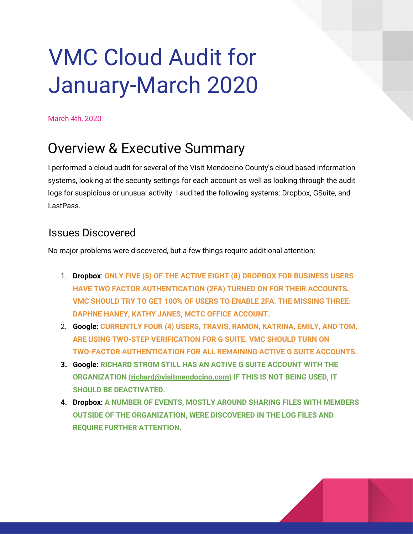# VMC Cloud Audit for January-March 2020

March 4th, 2020

## Overview & Executive Summary

I performed a cloud audit for several of the Visit Mendocino County's cloud based information systems, looking at the security settings for each account as well as looking through the audit logs for suspicious or unusual activity. I audited the following systems: Dropbox, GSuite, and LastPass.

### Issues Discovered

No major problems were discovered, but a few things require additional attention:

- 1. **Dropbox**: **ONLY FIVE (5) OF THE ACTIVE EIGHT (8) DROPBOX FOR BUSINESS USERS HAVE TWO FACTOR AUTHENTICATION (2FA) TURNED ON FOR THEIR ACCOUNTS. VMC SHOULD TRY TO GET 100% OF USERS TO ENABLE 2FA. THE MISSING THREE: DAPHNE HANEY, KATHY JANES, MCTC OFFICE ACCOUNT.**
- 2. **Google: CURRENTLY FOUR (4) USERS, TRAVIS, RAMON, KATRINA, EMILY, AND TOM, ARE USING TWO-STEP VERIFICATION FOR G SUITE. VMC SHOULD TURN ON TWO-FACTOR AUTHENTICATION FOR ALL REMAINING ACTIVE G SUITE ACCOUNTS.**
- **3. Google: RICHARD STROM STILL HAS AN ACTIVE G SUITE ACCOUNT WITH THE ORGANIZATION [\(richard@visitmendocino.com\)](mailto:richard@visitmendocino.com) IF THIS IS NOT BEING USED, IT SHOULD BE DEACTIVATED.**
- **4. Dropbox: A NUMBER OF EVENTS, MOSTLY AROUND SHARING FILES WITH MEMBERS OUTSIDE OF THE ORGANIZATION, WERE DISCOVERED IN THE LOG FILES AND REQUIRE FURTHER ATTENTION.**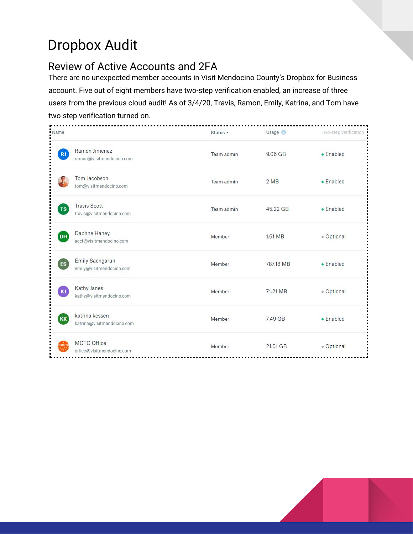# Dropbox Audit

### Review of Active Accounts and 2FA

There are no unexpected member accounts in Visit Mendocino County's Dropbox for Business account. Five out of eight members have two-step verification enabled, an increase of three users from the previous cloud audit! As of 3/4/20, Travis, Ramon, Emily, Katrina, and Tom have two-step verification turned on.

| · Name     |                                                  | Status +   | Usage <sup>1</sup> | Two-step verification |
|------------|--------------------------------------------------|------------|--------------------|-----------------------|
| RJ         | Ramon Jimenez<br>ramon@visitmendocino.com        | Team admin | $9.06$ GB          | $\bullet$ Enabled     |
|            | Tom Jacobson<br>tom@visitmendocino.com           | Team admin | 2MB                | • Enabled             |
| TS         | <b>Travis Scott</b><br>travis@visitmendocino.com | Team admin | 45.22 GB           | $\bullet$ Enabled     |
| <b>DH</b>  | Daphne Haney<br>acct@visitmendocino.com          | Member     | 1.61 MB            | · Optional            |
| ES         | Emily Saengarun<br>emily@visitmendocino.com      | Member     | 787.18 MB          | $\bullet$ Enabled     |
| <b>KJ</b>  | Kathy Janes<br>kathy@visitmendocino.com          | Member     | 71.21 MB           | · Optional            |
| <b>KK</b>  | katrina kessen<br>katrina@visitmendocino.com     | Member     | 7.49 GB            | $\bullet$ Enabled     |
| <b>NDO</b> | <b>MCTC Office</b><br>office@visitmendocino.com  | Member     | 21.01 GB           | · Optional            |

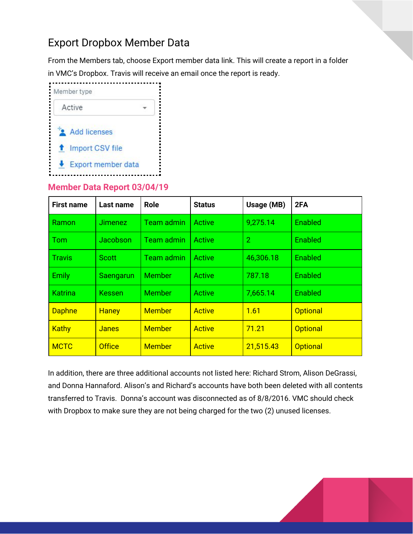### Export Dropbox Member Data

From the Members tab, choose Export member data link. This will create a report in a folder in VMC's Dropbox. Travis will receive an email once the report is ready.



#### **Member Data Report 03/04/19**

| <b>First name</b> | Last name      | <b>Role</b>       | <b>Status</b> | Usage (MB) | 2FA             |
|-------------------|----------------|-------------------|---------------|------------|-----------------|
| Ramon             | <b>Jimenez</b> | <b>Team admin</b> | <b>Active</b> | 9,275.14   | Enabled         |
| $\mid$ Tom        | Jacobson       | <b>Team admin</b> | Active        | 2          | <b>Enabled</b>  |
| <b>Travis</b>     | Scott          | Team admin        | Active        | 46,306.18  | Enabled         |
| <b>Emily</b>      | Saengarun      | Member            | Active        | 787.18     | Enabled         |
| <b>Katrina</b>    | <b>Kessen</b>  | <b>Member</b>     | Active        | 7,665.14   | Enabled         |
| <b>Daphne</b>     | <b>Haney</b>   | <b>Member</b>     | <b>Active</b> | 1.61       | <b>Optional</b> |
| <b>Kathy</b>      | <b>Janes</b>   | <b>Member</b>     | <b>Active</b> | 71.21      | <b>Optional</b> |
| <b>MCTC</b>       | <b>Office</b>  | <b>Member</b>     | <b>Active</b> | 21,515.43  | <b>Optional</b> |

In addition, there are three additional accounts not listed here: Richard Strom, Alison DeGrassi, and Donna Hannaford. Alison's and Richard's accounts have both been deleted with all contents transferred to Travis. Donna's account was disconnected as of 8/8/2016. VMC should check with Dropbox to make sure they are not being charged for the two (2) unused licenses.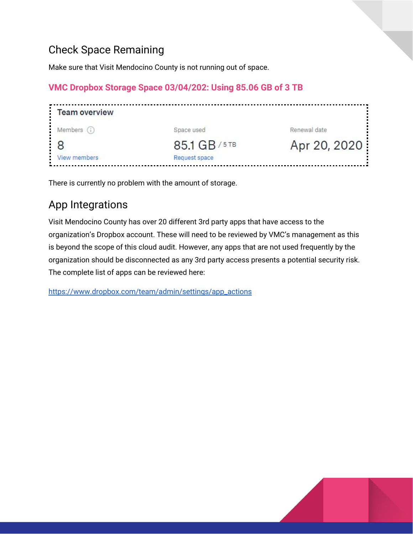### Check Space Remaining

Make sure that Visit Mendocino County is not running out of space.

#### **VMC Dropbox Storage Space 03/04/202: Using 85.06 GB of 3 TB**

| Team overview |               |              |
|---------------|---------------|--------------|
| Members (i)   | Space used    | Renewal date |
| $\cdot$ 8     | 85.1 GB/5TB   | Apr 20, 2020 |
| View members  | Request space |              |

There is currently no problem with the amount of storage.

### App Integrations

Visit Mendocino County has over 20 different 3rd party apps that have access to the organization's Dropbox account. These will need to be reviewed by VMC's management as this is beyond the scope of this cloud audit. However, any apps that are not used frequently by the organization should be disconnected as any 3rd party access presents a potential security risk. The complete list of apps can be reviewed here:

[https://www.dropbox.com/team/admin/settings/app\\_actions](https://www.dropbox.com/team/admin/settings/app_actions)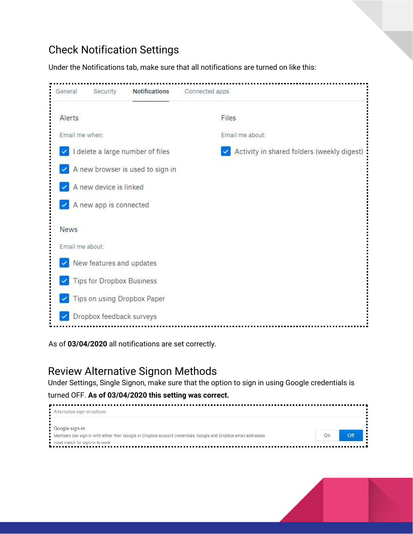### Check Notification Settings

Under the Notifications tab, make sure that all notifications are turned on like this:



As of **03/04/2020** all notifications are set correctly.

### Review Alternative Signon Methods

Under Settings, Single Signon, make sure that the option to sign in using Google credentials is

#### turned OFF. **As of 03/04/2020 this setting was correct.**

| Alternative sign-in options                                                                                     |    |     |
|-----------------------------------------------------------------------------------------------------------------|----|-----|
| Google sign-in                                                                                                  |    |     |
| Members can sign in with either their Google or Dropbox account credentials. Google and Dropbox email addresses | On | Off |
| must match for sign-in to work                                                                                  |    |     |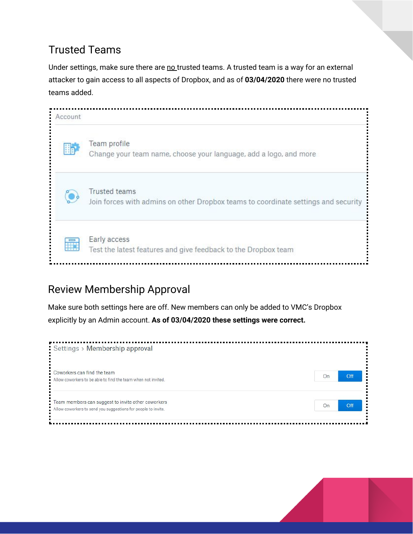### Trusted Teams

Under settings, make sure there are no trusted teams. A trusted team is a way for an external attacker to gain access to all aspects of Dropbox, and as of **03/04/2020** there were no trusted teams added.



### Review Membership Approval

Make sure both settings here are off. New members can only be added to VMC's Dropbox explicitly by an Admin account. **As of 03/04/2020 these settings were correct.**



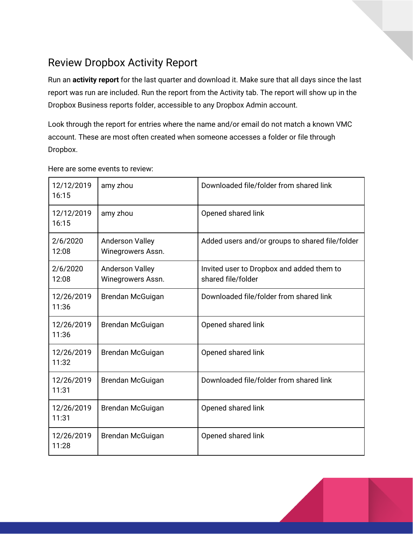### Review Dropbox Activity Report

Run an **activity report** for the last quarter and download it. Make sure that all days since the last report was run are included. Run the report from the Activity tab. The report will show up in the Dropbox Business reports folder, accessible to any Dropbox Admin account.

Look through the report for entries where the name and/or email do not match a known VMC account. These are most often created when someone accesses a folder or file through Dropbox.

| 12/12/2019<br>16:15 | amy zhou                                    | Downloaded file/folder from shared link                         |
|---------------------|---------------------------------------------|-----------------------------------------------------------------|
| 12/12/2019<br>16:15 | amy zhou                                    | Opened shared link                                              |
| 2/6/2020<br>12:08   | <b>Anderson Valley</b><br>Winegrowers Assn. | Added users and/or groups to shared file/folder                 |
| 2/6/2020<br>12:08   | <b>Anderson Valley</b><br>Winegrowers Assn. | Invited user to Dropbox and added them to<br>shared file/folder |
| 12/26/2019<br>11:36 | Brendan McGuigan                            | Downloaded file/folder from shared link                         |
| 12/26/2019<br>11:36 | Brendan McGuigan                            | Opened shared link                                              |
| 12/26/2019<br>11:32 | Brendan McGuigan                            | Opened shared link                                              |
| 12/26/2019<br>11:31 | Brendan McGuigan                            | Downloaded file/folder from shared link                         |
| 12/26/2019<br>11:31 | Brendan McGuigan                            | Opened shared link                                              |
| 12/26/2019<br>11:28 | Brendan McGuigan                            | Opened shared link                                              |

Here are some events to review: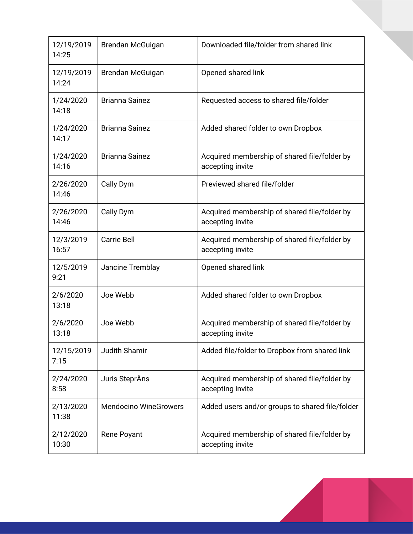| 12/19/2019<br>14:25 | Brendan McGuigan             | Downloaded file/folder from shared link                          |
|---------------------|------------------------------|------------------------------------------------------------------|
| 12/19/2019<br>14:24 | Brendan McGuigan             | Opened shared link                                               |
| 1/24/2020<br>14:18  | <b>Brianna Sainez</b>        | Requested access to shared file/folder                           |
| 1/24/2020<br>14:17  | <b>Brianna Sainez</b>        | Added shared folder to own Dropbox                               |
| 1/24/2020<br>14:16  | <b>Brianna Sainez</b>        | Acquired membership of shared file/folder by<br>accepting invite |
| 2/26/2020<br>14:46  | Cally Dym                    | Previewed shared file/folder                                     |
| 2/26/2020<br>14:46  | Cally Dym                    | Acquired membership of shared file/folder by<br>accepting invite |
| 12/3/2019<br>16:57  | <b>Carrie Bell</b>           | Acquired membership of shared file/folder by<br>accepting invite |
| 12/5/2019<br>9:21   | Jancine Tremblay             | Opened shared link                                               |
| 2/6/2020<br>13:18   | Joe Webb                     | Added shared folder to own Dropbox                               |
| 2/6/2020<br>13:18   | Joe Webb                     | Acquired membership of shared file/folder by<br>accepting invite |
| 12/15/2019<br>7:15  | Judith Shamir                | Added file/folder to Dropbox from shared link                    |
| 2/24/2020<br>8:58   | Juris SteprÄns               | Acquired membership of shared file/folder by<br>accepting invite |
| 2/13/2020<br>11:38  | <b>Mendocino WineGrowers</b> | Added users and/or groups to shared file/folder                  |
| 2/12/2020<br>10:30  | <b>Rene Poyant</b>           | Acquired membership of shared file/folder by<br>accepting invite |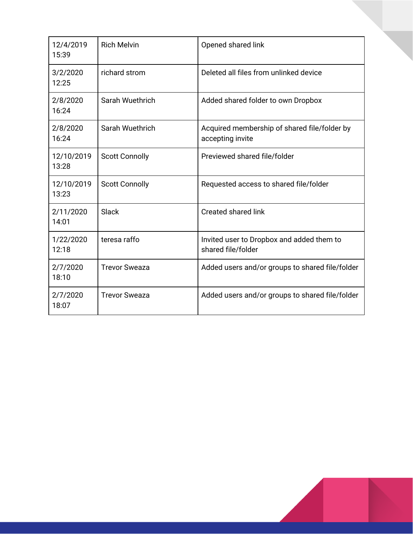| 12/4/2019<br>15:39  | <b>Rich Melvin</b>    | Opened shared link                                               |
|---------------------|-----------------------|------------------------------------------------------------------|
| 3/2/2020<br>12:25   | richard strom         | Deleted all files from unlinked device                           |
| 2/8/2020<br>16:24   | Sarah Wuethrich       | Added shared folder to own Dropbox                               |
| 2/8/2020<br>16:24   | Sarah Wuethrich       | Acquired membership of shared file/folder by<br>accepting invite |
| 12/10/2019<br>13:28 | <b>Scott Connolly</b> | Previewed shared file/folder                                     |
| 12/10/2019<br>13:23 | <b>Scott Connolly</b> | Requested access to shared file/folder                           |
| 2/11/2020<br>14:01  | Slack                 | <b>Created shared link</b>                                       |
| 1/22/2020<br>12:18  | teresa raffo          | Invited user to Dropbox and added them to<br>shared file/folder  |
| 2/7/2020<br>18:10   | <b>Trevor Sweaza</b>  | Added users and/or groups to shared file/folder                  |
| 2/7/2020<br>18:07   | <b>Trevor Sweaza</b>  | Added users and/or groups to shared file/folder                  |

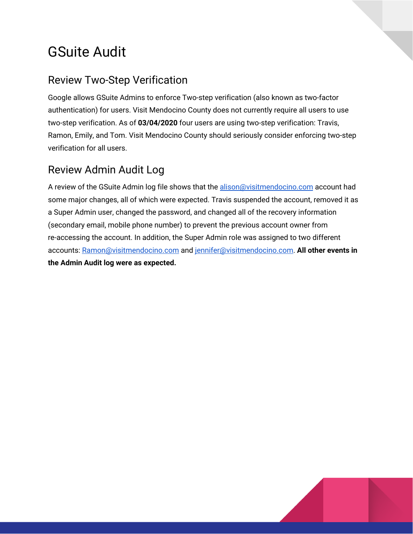# GSuite Audit

### Review Two-Step Verification

Google allows GSuite Admins to enforce Two-step verification (also known as two-factor authentication) for users. Visit Mendocino County does not currently require all users to use two-step verification. As of **03/04/2020** four users are using two-step verification: Travis, Ramon, Emily, and Tom. Visit Mendocino County should seriously consider enforcing two-step verification for all users.

### Review Admin Audit Log

A review of the GSuite Admin log file shows that the [alison@visitmendocino.com](mailto:alison@visitmendocino.com) account had some major changes, all of which were expected. Travis suspended the account, removed it as a Super Admin user, changed the password, and changed all of the recovery information (secondary email, mobile phone number) to prevent the previous account owner from re-accessing the account. In addition, the Super Admin role was assigned to two different accounts: [Ramon@visitmendocino.com](mailto:Ramon@visitmendocino.com) and [jennifer@visitmendocino.com.](mailto:jennifer@visitmendocino.com) **All other events in the Admin Audit log were as expected.**